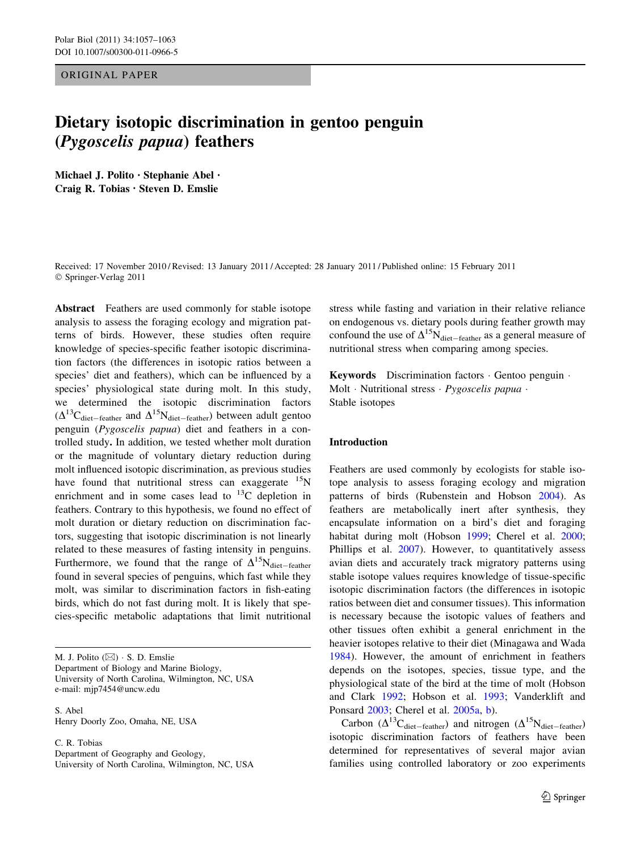ORIGINAL PAPER

# Dietary isotopic discrimination in gentoo penguin (Pygoscelis papua) feathers

Michael J. Polito • Stephanie Abel • Craig R. Tobias • Steven D. Emslie

Received: 17 November 2010 / Revised: 13 January 2011 / Accepted: 28 January 2011 / Published online: 15 February 2011 © Springer-Verlag 2011

Abstract Feathers are used commonly for stable isotope analysis to assess the foraging ecology and migration patterns of birds. However, these studies often require knowledge of species-specific feather isotopic discrimination factors (the differences in isotopic ratios between a species' diet and feathers), which can be influenced by a species' physiological state during molt. In this study, we determined the isotopic discrimination factors  $(\Delta^{13}C_{\text{dict-feature}}$  and  $\Delta^{15}N_{\text{dict-feature}})$  between adult gentoo penguin (Pygoscelis papua) diet and feathers in a controlled study. In addition, we tested whether molt duration or the magnitude of voluntary dietary reduction during molt influenced isotopic discrimination, as previous studies have found that nutritional stress can exaggerate  $^{15}N$ enrichment and in some cases lead to  $^{13}$ C depletion in feathers. Contrary to this hypothesis, we found no effect of molt duration or dietary reduction on discrimination factors, suggesting that isotopic discrimination is not linearly related to these measures of fasting intensity in penguins. Furthermore, we found that the range of  $\Delta^{15}N_{\text{diet-feature}}$ found in several species of penguins, which fast while they molt, was similar to discrimination factors in fish-eating birds, which do not fast during molt. It is likely that species-specific metabolic adaptations that limit nutritional

S. Abel Henry Doorly Zoo, Omaha, NE, USA

C. R. Tobias Department of Geography and Geology, University of North Carolina, Wilmington, NC, USA

stress while fasting and variation in their relative reliance on endogenous vs. dietary pools during feather growth may confound the use of  $\Delta^{15}N_{\text{dict-feature}}$  as a general measure of nutritional stress when comparing among species.

Keywords Discrimination factors - Gentoo penguin - Molt · Nutritional stress · Pygoscelis papua · Stable isotopes

## Introduction

Feathers are used commonly by ecologists for stable isotope analysis to assess foraging ecology and migration patterns of birds (Rubenstein and Hobson [2004\)](#page-6-0). As feathers are metabolically inert after synthesis, they encapsulate information on a bird's diet and foraging habitat during molt (Hobson [1999;](#page-5-0) Cherel et al. [2000](#page-5-0); Phillips et al. [2007](#page-6-0)). However, to quantitatively assess avian diets and accurately track migratory patterns using stable isotope values requires knowledge of tissue-specific isotopic discrimination factors (the differences in isotopic ratios between diet and consumer tissues). This information is necessary because the isotopic values of feathers and other tissues often exhibit a general enrichment in the heavier isotopes relative to their diet (Minagawa and Wada [1984](#page-6-0)). However, the amount of enrichment in feathers depends on the isotopes, species, tissue type, and the physiological state of the bird at the time of molt (Hobson and Clark [1992;](#page-5-0) Hobson et al. [1993](#page-5-0); Vanderklift and Ponsard [2003;](#page-6-0) Cherel et al. [2005a,](#page-5-0) [b\)](#page-5-0).

Carbon ( $\Delta^{13}$ C<sub>diet-feather</sub>) and nitrogen ( $\Delta^{15}$ N<sub>diet-feather</sub>) isotopic discrimination factors of feathers have been determined for representatives of several major avian families using controlled laboratory or zoo experiments

M. J. Polito  $(\boxtimes) \cdot S$ . D. Emslie Department of Biology and Marine Biology, University of North Carolina, Wilmington, NC, USA e-mail: mjp7454@uncw.edu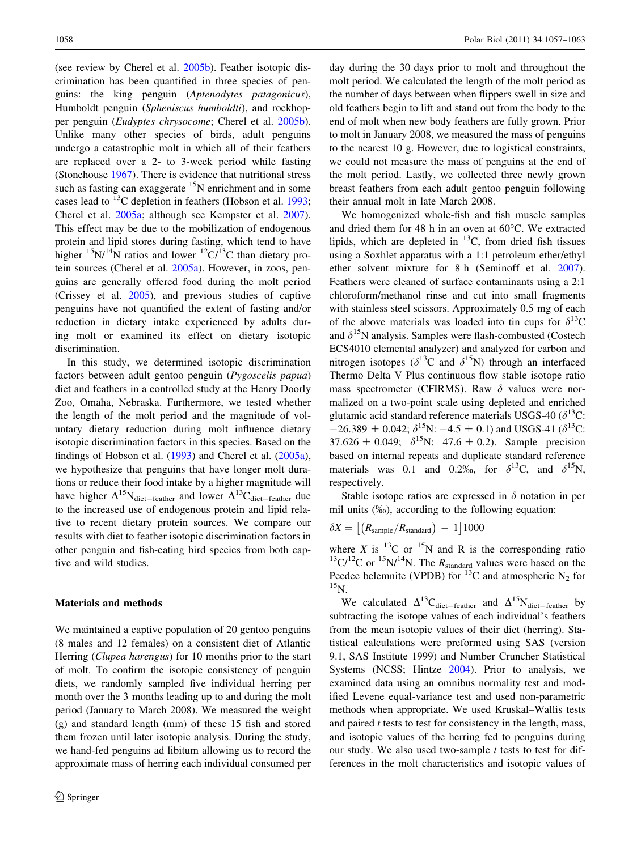(see review by Cherel et al. [2005b](#page-5-0)). Feather isotopic discrimination has been quantified in three species of penguins: the king penguin (Aptenodytes patagonicus), Humboldt penguin (Spheniscus humboldti), and rockhopper penguin (Eudyptes chrysocome; Cherel et al. [2005b](#page-5-0)). Unlike many other species of birds, adult penguins undergo a catastrophic molt in which all of their feathers are replaced over a 2- to 3-week period while fasting (Stonehouse [1967\)](#page-6-0). There is evidence that nutritional stress such as fasting can exaggerate  $15N$  enrichment and in some cases lead to  $^{13}$ C depletion in feathers (Hobson et al. [1993](#page-5-0); Cherel et al. [2005a;](#page-5-0) although see Kempster et al. [2007](#page-5-0)). This effect may be due to the mobilization of endogenous protein and lipid stores during fasting, which tend to have higher  $15N/14N$  ratios and lower  $12C/13C$  than dietary protein sources (Cherel et al. [2005a](#page-5-0)). However, in zoos, penguins are generally offered food during the molt period (Crissey et al. [2005](#page-5-0)), and previous studies of captive penguins have not quantified the extent of fasting and/or reduction in dietary intake experienced by adults during molt or examined its effect on dietary isotopic discrimination.

In this study, we determined isotopic discrimination factors between adult gentoo penguin (Pygoscelis papua) diet and feathers in a controlled study at the Henry Doorly Zoo, Omaha, Nebraska. Furthermore, we tested whether the length of the molt period and the magnitude of voluntary dietary reduction during molt influence dietary isotopic discrimination factors in this species. Based on the findings of Hobson et al. [\(1993](#page-5-0)) and Cherel et al. ([2005a](#page-5-0)), we hypothesize that penguins that have longer molt durations or reduce their food intake by a higher magnitude will have higher  $\Delta^{15}N_{\text{dict-feature}}$  and lower  $\Delta^{13}C_{\text{dict-feature}}$  due to the increased use of endogenous protein and lipid relative to recent dietary protein sources. We compare our results with diet to feather isotopic discrimination factors in other penguin and fish-eating bird species from both captive and wild studies.

#### Materials and methods

We maintained a captive population of 20 gentoo penguins (8 males and 12 females) on a consistent diet of Atlantic Herring (Clupea harengus) for 10 months prior to the start of molt. To confirm the isotopic consistency of penguin diets, we randomly sampled five individual herring per month over the 3 months leading up to and during the molt period (January to March 2008). We measured the weight (g) and standard length (mm) of these 15 fish and stored them frozen until later isotopic analysis. During the study, we hand-fed penguins ad libitum allowing us to record the approximate mass of herring each individual consumed per day during the 30 days prior to molt and throughout the molt period. We calculated the length of the molt period as the number of days between when flippers swell in size and old feathers begin to lift and stand out from the body to the end of molt when new body feathers are fully grown. Prior to molt in January 2008, we measured the mass of penguins to the nearest 10 g. However, due to logistical constraints, we could not measure the mass of penguins at the end of the molt period. Lastly, we collected three newly grown breast feathers from each adult gentoo penguin following their annual molt in late March 2008.

We homogenized whole-fish and fish muscle samples and dried them for 48 h in an oven at  $60^{\circ}$ C. We extracted lipids, which are depleted in  $^{13}$ C, from dried fish tissues using a Soxhlet apparatus with a 1:1 petroleum ether/ethyl ether solvent mixture for 8 h (Seminoff et al. [2007](#page-6-0)). Feathers were cleaned of surface contaminants using a 2:1 chloroform/methanol rinse and cut into small fragments with stainless steel scissors. Approximately 0.5 mg of each of the above materials was loaded into tin cups for  $\delta^{13}C$ and  $\delta^{15}N$  analysis. Samples were flash-combusted (Costech ECS4010 elemental analyzer) and analyzed for carbon and nitrogen isotopes ( $\delta^{13}$ C and  $\delta^{15}$ N) through an interfaced Thermo Delta V Plus continuous flow stable isotope ratio mass spectrometer (CFIRMS). Raw  $\delta$  values were normalized on a two-point scale using depleted and enriched glutamic acid standard reference materials USGS-40 ( $\delta^{13}$ C:  $-26.389 \pm 0.042$ ;  $\delta^{15}N$ :  $-4.5 \pm 0.1$ ) and USGS-41 ( $\delta^{13}C$ : 37.626  $\pm$  0.049;  $\delta^{15}N$ : 47.6  $\pm$  0.2). Sample precision based on internal repeats and duplicate standard reference materials was 0.1 and 0.2‰, for  $\delta^{13}C$ , and  $\delta^{15}N$ , respectively.

Stable isotope ratios are expressed in  $\delta$  notation in per mil units (%), according to the following equation:

$$
\delta X = \left[ \left( R_{\text{sample}} / R_{\text{standard}} \right) - 1 \right] 1000
$$

where X is  $^{13}$ C or  $^{15}$ N and R is the corresponding ratio  $13\text{C}/12\text{C}$  or  $15\text{N}/14\text{N}$ . The  $R_{\text{standard}}$  values were based on the Peedee belemnite (VPDB) for  $^{13}$ C and atmospheric N<sub>2</sub> for  $^{15}$ N.

We calculated  $\Delta^{13}C_{\text{dict-feature}}$  and  $\Delta^{15}N_{\text{dict-feature}}$  by subtracting the isotope values of each individual's feathers from the mean isotopic values of their diet (herring). Statistical calculations were preformed using SAS (version 9.1, SAS Institute 1999) and Number Cruncher Statistical Systems (NCSS; Hintze [2004](#page-5-0)). Prior to analysis, we examined data using an omnibus normality test and modified Levene equal-variance test and used non-parametric methods when appropriate. We used Kruskal–Wallis tests and paired  $t$  tests to test for consistency in the length, mass, and isotopic values of the herring fed to penguins during our study. We also used two-sample  $t$  tests to test for differences in the molt characteristics and isotopic values of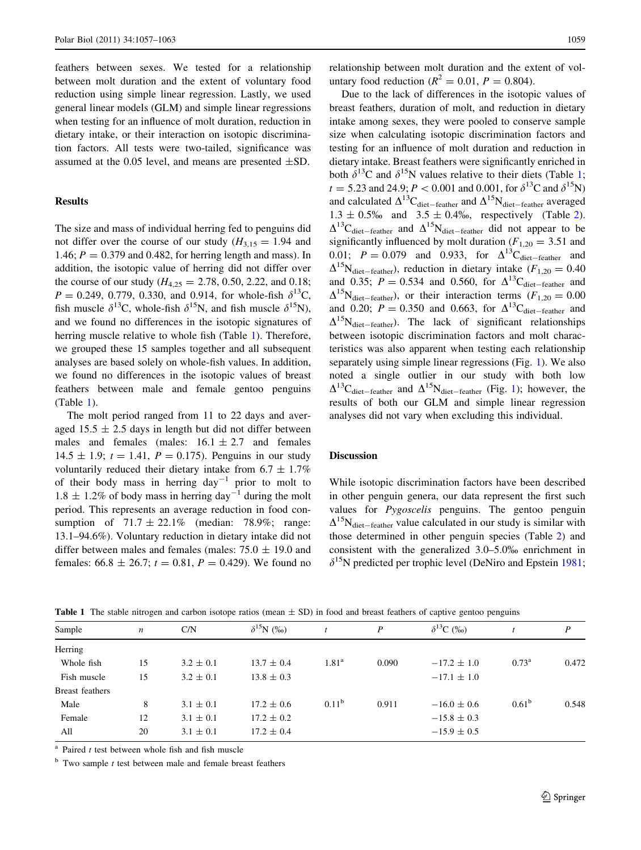feathers between sexes. We tested for a relationship between molt duration and the extent of voluntary food reduction using simple linear regression. Lastly, we used general linear models (GLM) and simple linear regressions when testing for an influence of molt duration, reduction in dietary intake, or their interaction on isotopic discrimination factors. All tests were two-tailed, significance was assumed at the 0.05 level, and means are presented  $\pm$ SD.

## Results

The size and mass of individual herring fed to penguins did not differ over the course of our study  $(H_{3,15} = 1.94$  and 1.46;  $P = 0.379$  and 0.482, for herring length and mass). In addition, the isotopic value of herring did not differ over the course of our study  $(H_{4,25} = 2.78, 0.50, 2.22,$  and 0.18;  $P = 0.249, 0.779, 0.330,$  and 0.914, for whole-fish  $\delta^{13}C$ , fish muscle  $\delta^{13}$ C, whole-fish  $\delta^{15}$ N, and fish muscle  $\delta^{15}$ N), and we found no differences in the isotopic signatures of herring muscle relative to whole fish (Table 1). Therefore, we grouped these 15 samples together and all subsequent analyses are based solely on whole-fish values. In addition, we found no differences in the isotopic values of breast feathers between male and female gentoo penguins (Table 1).

The molt period ranged from 11 to 22 days and averaged  $15.5 \pm 2.5$  days in length but did not differ between males and females (males:  $16.1 \pm 2.7$  and females  $14.5 \pm 1.9$ ;  $t = 1.41$ ,  $P = 0.175$ ). Penguins in our study voluntarily reduced their dietary intake from  $6.7 \pm 1.7\%$ of their body mass in herring  $day^{-1}$  prior to molt to  $1.8 \pm 1.2\%$  of body mass in herring day<sup>-1</sup> during the molt period. This represents an average reduction in food consumption of  $71.7 \pm 22.1\%$  (median: 78.9%; range: 13.1–94.6%). Voluntary reduction in dietary intake did not differ between males and females (males:  $75.0 \pm 19.0$  and females:  $66.8 \pm 26.7$ ;  $t = 0.81$ ,  $P = 0.429$ ). We found no

relationship between molt duration and the extent of voluntary food reduction ( $R^2 = 0.01$ ,  $P = 0.804$ ).

Due to the lack of differences in the isotopic values of breast feathers, duration of molt, and reduction in dietary intake among sexes, they were pooled to conserve sample size when calculating isotopic discrimination factors and testing for an influence of molt duration and reduction in dietary intake. Breast feathers were significantly enriched in both  $\delta^{13}$ C and  $\delta^{15}$ N values relative to their diets (Table 1;  $t = 5.23$  and 24.9;  $P < 0.001$  and 0.001, for  $\delta^{13}C$  and  $\delta^{15}N$ ) and calculated  $\Delta^{13}C_{\text{dict–feature}}$  and  $\Delta^{15}N_{\text{dict–feature}}$  averaged  $1.3 \pm 0.5\%$  and  $3.5 \pm 0.4\%$ , respectively (Table [2](#page-3-0)).  $\Delta^{13}$ C<sub>diet-feather</sub> and  $\Delta^{15}$ N<sub>diet-feather</sub> did not appear to be significantly influenced by molt duration  $(F_{1,20} = 3.51$  and 0.01;  $P = 0.079$  and 0.933, for  $\Delta^{13}$ C<sub>diet-feather</sub> and  $\Delta^{15}$ N<sub>diet-feather</sub>), reduction in dietary intake ( $F_{1,20} = 0.40$ and 0.35;  $P = 0.534$  and 0.560, for  $\Delta^{13}C_{\text{dict-feature}}$  and  $\Delta^{15}$ N<sub>diet-feather</sub>), or their interaction terms ( $F_{1,20} = 0.00$ and 0.20;  $P = 0.350$  and 0.663, for  $\Delta^{13}C_{\text{dict-feature}}$  and  $\Delta^{15}$ N<sub>diet-feather</sub>). The lack of significant relationships between isotopic discrimination factors and molt characteristics was also apparent when testing each relationship separately using simple linear regressions (Fig. [1](#page-3-0)). We also noted a single outlier in our study with both low  $\Delta^{13}$ C<sub>diet-feather</sub> and  $\Delta^{15}$ N<sub>diet-feather</sub> (Fig. [1\)](#page-3-0); however, the results of both our GLM and simple linear regression analyses did not vary when excluding this individual.

## Discussion

While isotopic discrimination factors have been described in other penguin genera, our data represent the first such values for Pygoscelis penguins. The gentoo penguin  $\Delta^{15}$ N<sub>diet-feather</sub> value calculated in our study is similar with those determined in other penguin species (Table [2](#page-3-0)) and consistent with the generalized 3.0–5.0% enrichment in  $\delta^{15}$ N predicted per trophic level (DeNiro and Epstein [1981](#page-5-0);

| Sample                 | $\boldsymbol{n}$ | C/N           | $\delta^{15}N$ (%) |                   | $\boldsymbol{P}$ | $\delta^{13}C$ (%) |                | P     |
|------------------------|------------------|---------------|--------------------|-------------------|------------------|--------------------|----------------|-------|
| Herring                |                  |               |                    |                   |                  |                    |                |       |
| Whole fish             | 15               | $3.2 \pm 0.1$ | $13.7 \pm 0.4$     | $1.81^{\rm a}$    | 0.090            | $-17.2 \pm 1.0$    | $0.73^{\rm a}$ | 0.472 |
| Fish muscle            | 15               | $3.2 \pm 0.1$ | $13.8 \pm 0.3$     |                   |                  | $-17.1 \pm 1.0$    |                |       |
| <b>Breast</b> feathers |                  |               |                    |                   |                  |                    |                |       |
| Male                   | 8                | $3.1 \pm 0.1$ | $17.2 \pm 0.6$     | 0.11 <sup>b</sup> | 0.911            | $-16.0 \pm 0.6$    | $0.61^{\rm b}$ | 0.548 |
| Female                 | 12               | $3.1 \pm 0.1$ | $17.2 \pm 0.2$     |                   |                  | $-15.8 \pm 0.3$    |                |       |
| All                    | 20               | $3.1 \pm 0.1$ | $17.2 \pm 0.4$     |                   |                  | $-15.9 \pm 0.5$    |                |       |

**Table 1** The stable nitrogen and carbon isotope ratios (mean  $\pm$  SD) in food and breast feathers of captive gentoo penguins

 $a$  Paired *t* test between whole fish and fish muscle

 $<sup>b</sup>$  Two sample *t* test between male and female breast feathers</sup>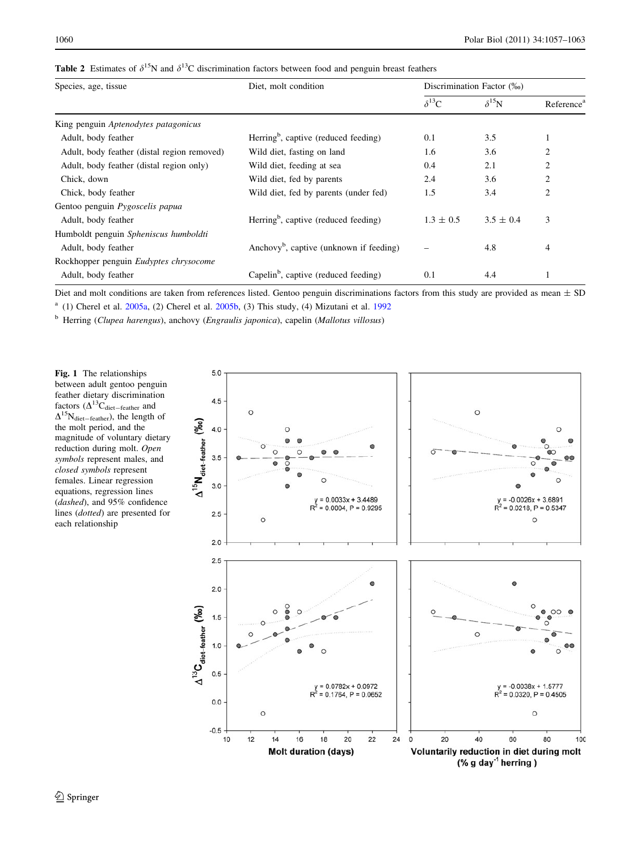<span id="page-3-0"></span>

| Species, age, tissue                        | Diet, molt condition                                | Discrimination Factor (‰) |                |                        |
|---------------------------------------------|-----------------------------------------------------|---------------------------|----------------|------------------------|
|                                             |                                                     | $\delta^{13}C$            | $\delta^{15}N$ | Reference <sup>a</sup> |
| King penguin Aptenodytes patagonicus        |                                                     |                           |                |                        |
| Adult, body feather                         | Herring <sup>b</sup> , captive (reduced feeding)    | 0.1                       | 3.5            |                        |
| Adult, body feather (distal region removed) | Wild diet, fasting on land                          | 1.6                       | 3.6            | $\overline{c}$         |
| Adult, body feather (distal region only)    | Wild diet, feeding at sea                           | 0.4                       | 2.1            | $\overline{2}$         |
| Chick, down                                 | Wild diet, fed by parents                           | 2.4                       | 3.6            | $\overline{c}$         |
| Chick, body feather                         | Wild diet, fed by parents (under fed)               | 1.5                       | 3.4            | $\overline{2}$         |
| Gentoo penguin Pygoscelis papua             |                                                     |                           |                |                        |
| Adult, body feather                         | Herring <sup>b</sup> , captive (reduced feeding)    | $1.3 \pm 0.5$             | $3.5 \pm 0.4$  | 3                      |
| Humboldt penguin Spheniscus humboldti       |                                                     |                           |                |                        |
| Adult, body feather                         | Anchovy <sup>b</sup> , captive (unknown if feeding) |                           | 4.8            | $\overline{4}$         |
| Rockhopper penguin Eudyptes chrysocome      |                                                     |                           |                |                        |
| Adult, body feather                         | Capelin <sup>b</sup> , captive (reduced feeding)    | 0.1                       | 4.4            |                        |

Diet and molt conditions are taken from references listed. Gentoo penguin discriminations factors from this study are provided as mean  $\pm$  SD

<sup>a</sup> (1) Cherel et al.  $2005a$ , (2) Cherel et al.  $2005b$ , (3) This study, (4) Mizutani et al. [1992](#page-6-0)

 $<sup>b</sup>$  Herring (Clupea harengus), anchovy (Engraulis japonica), capelin (Mallotus villosus)</sup>

Fig. 1 The relationships between adult gentoo penguin feather dietary discrimination factors  $(\Delta^{13}\mathbf{C}_{\text{dict-feature}}$  and  $\Delta^{15}N_{\text{dict}-\text{feature}}$ ), the length of the molt period, and the magnitude of voluntary dietary reduction during molt. Open symbols represent males, and closed symbols represent females. Linear regression equations, regression lines (dashed), and 95% confidence lines (dotted) are presented for each relationship

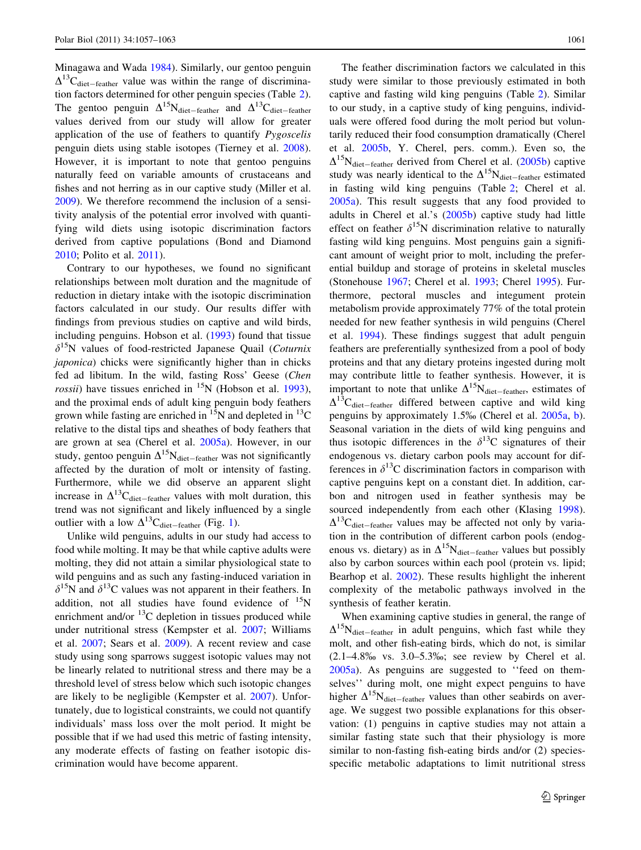Minagawa and Wada [1984](#page-6-0)). Similarly, our gentoo penguin  $\Delta^{13}$ C<sub>diet-feather</sub> value was within the range of discrimination factors determined for other penguin species (Table [2](#page-3-0)). The gentoo penguin  $\Delta^{15}N_{\text{dict-feature}}$  and  $\Delta^{13}C_{\text{dict-feature}}$ values derived from our study will allow for greater application of the use of feathers to quantify Pygoscelis penguin diets using stable isotopes (Tierney et al. [2008](#page-6-0)). However, it is important to note that gentoo penguins naturally feed on variable amounts of crustaceans and fishes and not herring as in our captive study (Miller et al. [2009\)](#page-6-0). We therefore recommend the inclusion of a sensitivity analysis of the potential error involved with quantifying wild diets using isotopic discrimination factors derived from captive populations (Bond and Diamond [2010;](#page-5-0) Polito et al. [2011](#page-6-0)).

Contrary to our hypotheses, we found no significant relationships between molt duration and the magnitude of reduction in dietary intake with the isotopic discrimination factors calculated in our study. Our results differ with findings from previous studies on captive and wild birds, including penguins. Hobson et al. ([1993\)](#page-5-0) found that tissue  $\delta^{15}$ N values of food-restricted Japanese Quail (*Coturnix* japonica) chicks were significantly higher than in chicks fed ad libitum. In the wild, fasting Ross' Geese (Chen *rossii*) have tissues enriched in  $^{15}N$  (Hobson et al. [1993](#page-5-0)), and the proximal ends of adult king penguin body feathers grown while fasting are enriched in  ${}^{15}N$  and depleted in  ${}^{13}C$ relative to the distal tips and sheathes of body feathers that are grown at sea (Cherel et al. [2005a](#page-5-0)). However, in our study, gentoo penguin  $\Delta^{15}N_{\text{dict-feature}}$  was not significantly affected by the duration of molt or intensity of fasting. Furthermore, while we did observe an apparent slight increase in  $\Delta^{13}C_{\text{dict-feature}}$  values with molt duration, this trend was not significant and likely influenced by a single outlier with a low  $\Delta^{13}C_{\text{diet-feather}}$  $\Delta^{13}C_{\text{diet-feather}}$  $\Delta^{13}C_{\text{diet-feather}}$  (Fig. 1).

Unlike wild penguins, adults in our study had access to food while molting. It may be that while captive adults were molting, they did not attain a similar physiological state to wild penguins and as such any fasting-induced variation in  $\delta^{15}$ N and  $\delta^{13}$ C values was not apparent in their feathers. In addition, not all studies have found evidence of  $^{15}N$ enrichment and/or  $^{13}$ C depletion in tissues produced while under nutritional stress (Kempster et al. [2007;](#page-5-0) Williams et al. [2007;](#page-6-0) Sears et al. [2009](#page-6-0)). A recent review and case study using song sparrows suggest isotopic values may not be linearly related to nutritional stress and there may be a threshold level of stress below which such isotopic changes are likely to be negligible (Kempster et al. [2007](#page-5-0)). Unfortunately, due to logistical constraints, we could not quantify individuals' mass loss over the molt period. It might be possible that if we had used this metric of fasting intensity, any moderate effects of fasting on feather isotopic discrimination would have become apparent.

The feather discrimination factors we calculated in this study were similar to those previously estimated in both captive and fasting wild king penguins (Table [2](#page-3-0)). Similar to our study, in a captive study of king penguins, individuals were offered food during the molt period but voluntarily reduced their food consumption dramatically (Cherel et al. [2005b](#page-5-0), Y. Cherel, pers. comm.). Even so, the  $\Delta^{15}N_{\text{dict–feature}}$  derived from Cherel et al. [\(2005b](#page-5-0)) captive study was nearly identical to the  $\Delta^{15}N_{\text{dict-feather}}$  estimated in fasting wild king penguins (Table [2;](#page-3-0) Cherel et al. [2005a\)](#page-5-0). This result suggests that any food provided to adults in Cherel et al.'s [\(2005b](#page-5-0)) captive study had little effect on feather  $\delta^{15}N$  discrimination relative to naturally fasting wild king penguins. Most penguins gain a significant amount of weight prior to molt, including the preferential buildup and storage of proteins in skeletal muscles (Stonehouse [1967](#page-6-0); Cherel et al. [1993;](#page-5-0) Cherel [1995\)](#page-5-0). Furthermore, pectoral muscles and integument protein metabolism provide approximately 77% of the total protein needed for new feather synthesis in wild penguins (Cherel et al. [1994\)](#page-5-0). These findings suggest that adult penguin feathers are preferentially synthesized from a pool of body proteins and that any dietary proteins ingested during molt may contribute little to feather synthesis. However, it is important to note that unlike  $\Delta^{15}N_{\text{dict-feature}}$ , estimates of  $\Delta^{13}$ C<sub>diet-feather</sub> differed between captive and wild king penguins by approximately 1.5% (Cherel et al. [2005a,](#page-5-0) [b](#page-5-0)). Seasonal variation in the diets of wild king penguins and thus isotopic differences in the  $\delta^{13}$ C signatures of their endogenous vs. dietary carbon pools may account for differences in  $\delta^{13}$ C discrimination factors in comparison with captive penguins kept on a constant diet. In addition, carbon and nitrogen used in feather synthesis may be sourced independently from each other (Klasing [1998](#page-5-0)).  $\Delta^{13}$ C<sub>diet-feather</sub> values may be affected not only by variation in the contribution of different carbon pools (endogenous vs. dietary) as in  $\Delta^{15}N_{\text{dict-feature}}$  values but possibly also by carbon sources within each pool (protein vs. lipid; Bearhop et al. [2002](#page-5-0)). These results highlight the inherent complexity of the metabolic pathways involved in the synthesis of feather keratin.

When examining captive studies in general, the range of  $\Delta^{15}$ N<sub>diet-feather</sub> in adult penguins, which fast while they molt, and other fish-eating birds, which do not, is similar  $(2.1-4.8\% \text{ v s. } 3.0-5.3\% \text{ s})$ ; see review by Cherel et al. [2005a\)](#page-5-0). As penguins are suggested to ''feed on themselves'' during molt, one might expect penguins to have higher  $\Delta^{15}N_{\text{dict}-\text{feature}}$  values than other seabirds on average. We suggest two possible explanations for this observation: (1) penguins in captive studies may not attain a similar fasting state such that their physiology is more similar to non-fasting fish-eating birds and/or  $(2)$  speciesspecific metabolic adaptations to limit nutritional stress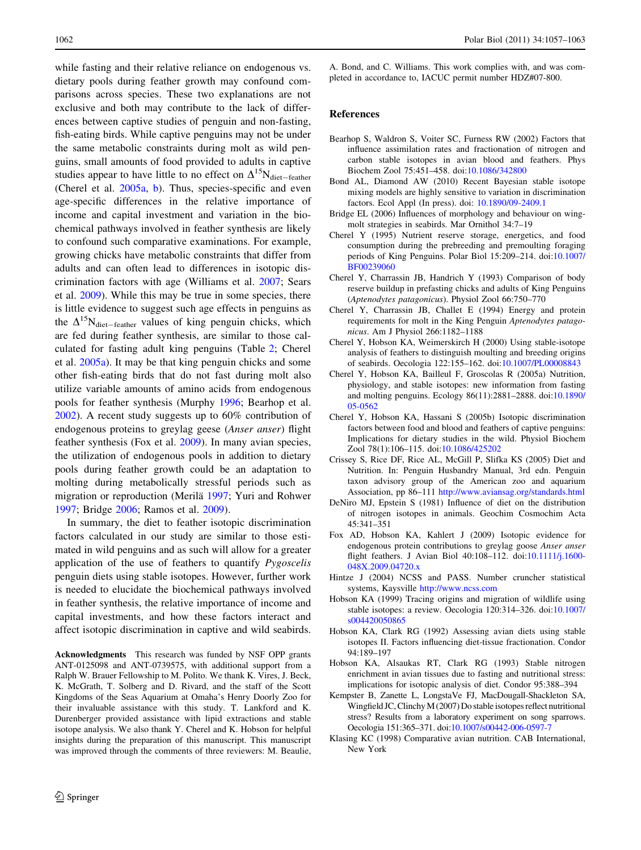<span id="page-5-0"></span>while fasting and their relative reliance on endogenous vs. dietary pools during feather growth may confound comparisons across species. These two explanations are not exclusive and both may contribute to the lack of differences between captive studies of penguin and non-fasting, fish-eating birds. While captive penguins may not be under the same metabolic constraints during molt as wild penguins, small amounts of food provided to adults in captive studies appear to have little to no effect on  $\Delta^{15}N_{\text{diet-feather}}$ (Cherel et al. 2005a, b). Thus, species-specific and even age-specific differences in the relative importance of income and capital investment and variation in the biochemical pathways involved in feather synthesis are likely to confound such comparative examinations. For example, growing chicks have metabolic constraints that differ from adults and can often lead to differences in isotopic discrimination factors with age (Williams et al. [2007;](#page-6-0) Sears et al. [2009](#page-6-0)). While this may be true in some species, there is little evidence to suggest such age effects in penguins as the  $\Delta^{15}N_{\text{dict-feature}}$  values of king penguin chicks, which are fed during feather synthesis, are similar to those calculated for fasting adult king penguins (Table [2](#page-3-0); Cherel et al. 2005a). It may be that king penguin chicks and some other fish-eating birds that do not fast during molt also utilize variable amounts of amino acids from endogenous pools for feather synthesis (Murphy [1996;](#page-6-0) Bearhop et al. 2002). A recent study suggests up to 60% contribution of endogenous proteins to greylag geese (Anser anser) flight feather synthesis (Fox et al. 2009). In many avian species, the utilization of endogenous pools in addition to dietary pools during feather growth could be an adaptation to molting during metabolically stressful periods such as migration or reproduction (Merilä [1997](#page-6-0); Yuri and Rohwer [1997;](#page-6-0) Bridge 2006; Ramos et al. [2009\)](#page-6-0).

In summary, the diet to feather isotopic discrimination factors calculated in our study are similar to those estimated in wild penguins and as such will allow for a greater application of the use of feathers to quantify Pygoscelis penguin diets using stable isotopes. However, further work is needed to elucidate the biochemical pathways involved in feather synthesis, the relative importance of income and capital investments, and how these factors interact and affect isotopic discrimination in captive and wild seabirds.

Acknowledgments This research was funded by NSF OPP grants ANT-0125098 and ANT-0739575, with additional support from a Ralph W. Brauer Fellowship to M. Polito. We thank K. Vires, J. Beck, K. McGrath, T. Solberg and D. Rivard, and the staff of the Scott Kingdoms of the Seas Aquarium at Omaha's Henry Doorly Zoo for their invaluable assistance with this study. T. Lankford and K. Durenberger provided assistance with lipid extractions and stable isotope analysis. We also thank Y. Cherel and K. Hobson for helpful insights during the preparation of this manuscript. This manuscript was improved through the comments of three reviewers: M. Beaulie,

A. Bond, and C. Williams. This work complies with, and was completed in accordance to, IACUC permit number HDZ#07-800.

#### References

- Bearhop S, Waldron S, Voiter SC, Furness RW (2002) Factors that influence assimilation rates and fractionation of nitrogen and carbon stable isotopes in avian blood and feathers. Phys Biochem Zool 75:451–458. doi[:10.1086/342800](http://dx.doi.org/10.1086/342800)
- Bond AL, Diamond AW (2010) Recent Bayesian stable isotope mixing models are highly sensitive to variation in discrimination factors. Ecol Appl (In press). doi: [10.1890/09-2409.1](http://dx.doi.org/10.1890/09-2409.1)
- Bridge EL (2006) Influences of morphology and behaviour on wingmolt strategies in seabirds. Mar Ornithol 34:7–19
- Cherel Y (1995) Nutrient reserve storage, energetics, and food consumption during the prebreeding and premoulting foraging periods of King Penguins. Polar Biol 15:209–214. doi[:10.1007/](http://dx.doi.org/10.1007/BF00239060) [BF00239060](http://dx.doi.org/10.1007/BF00239060)
- Cherel Y, Charrassin JB, Handrich Y (1993) Comparison of body reserve buildup in prefasting chicks and adults of King Penguins (Aptenodytes patagonicus). Physiol Zool 66:750–770
- Cherel Y, Charrassin JB, Challet E (1994) Energy and protein requirements for molt in the King Penguin Aptenodytes patagonicus. Am J Physiol 266:1182–1188
- Cherel Y, Hobson KA, Weimerskirch H (2000) Using stable-isotope analysis of feathers to distinguish moulting and breeding origins of seabirds. Oecologia 122:155–162. doi[:10.1007/PL00008843](http://dx.doi.org/10.1007/PL00008843)
- Cherel Y, Hobson KA, Bailleul F, Groscolas R (2005a) Nutrition, physiology, and stable isotopes: new information from fasting and molting penguins. Ecology 86(11):2881–2888. doi[:10.1890/](http://dx.doi.org/10.1890/05-0562) [05-0562](http://dx.doi.org/10.1890/05-0562)
- Cherel Y, Hobson KA, Hassani S (2005b) Isotopic discrimination factors between food and blood and feathers of captive penguins: Implications for dietary studies in the wild. Physiol Biochem Zool 78(1):106–115. doi:[10.1086/425202](http://dx.doi.org/10.1086/425202)
- Crissey S, Rice DF, Rice AL, McGill P, Slifka KS (2005) Diet and Nutrition. In: Penguin Husbandry Manual, 3rd edn. Penguin taxon advisory group of the American zoo and aquarium Association, pp 86–111 <http://www.aviansag.org/standards.html>
- DeNiro MJ, Epstein S (1981) Influence of diet on the distribution of nitrogen isotopes in animals. Geochim Cosmochim Acta 45:341–351
- Fox AD, Hobson KA, Kahlert J (2009) Isotopic evidence for endogenous protein contributions to greylag goose Anser anser flight feathers. J Avian Biol 40:108–112. doi[:10.1111/j.1600-](http://dx.doi.org/10.1111/j.1600-048X.2009.04720.x) [048X.2009.04720.x](http://dx.doi.org/10.1111/j.1600-048X.2009.04720.x)
- Hintze J (2004) NCSS and PASS. Number cruncher statistical systems, Kaysville <http://www.ncss.com>
- Hobson KA (1999) Tracing origins and migration of wildlife using stable isotopes: a review. Oecologia 120:314–326. doi[:10.1007/](http://dx.doi.org/10.1007/s004420050865) [s004420050865](http://dx.doi.org/10.1007/s004420050865)
- Hobson KA, Clark RG (1992) Assessing avian diets using stable isotopes II. Factors influencing diet-tissue fractionation. Condor 94:189–197
- Hobson KA, Alsaukas RT, Clark RG (1993) Stable nitrogen enrichment in avian tissues due to fasting and nutritional stress: implications for isotopic analysis of diet. Condor 95:388–394
- Kempster B, Zanette L, LongstaVe FJ, MacDougall-Shackleton SA, Wingfield JC, Clinchy M (2007) Do stable isotopes reflect nutritional stress? Results from a laboratory experiment on song sparrows. Oecologia 151:365–371. doi[:10.1007/s00442-006-0597-7](http://dx.doi.org/10.1007/s00442-006-0597-7)
- Klasing KC (1998) Comparative avian nutrition. CAB International, New York